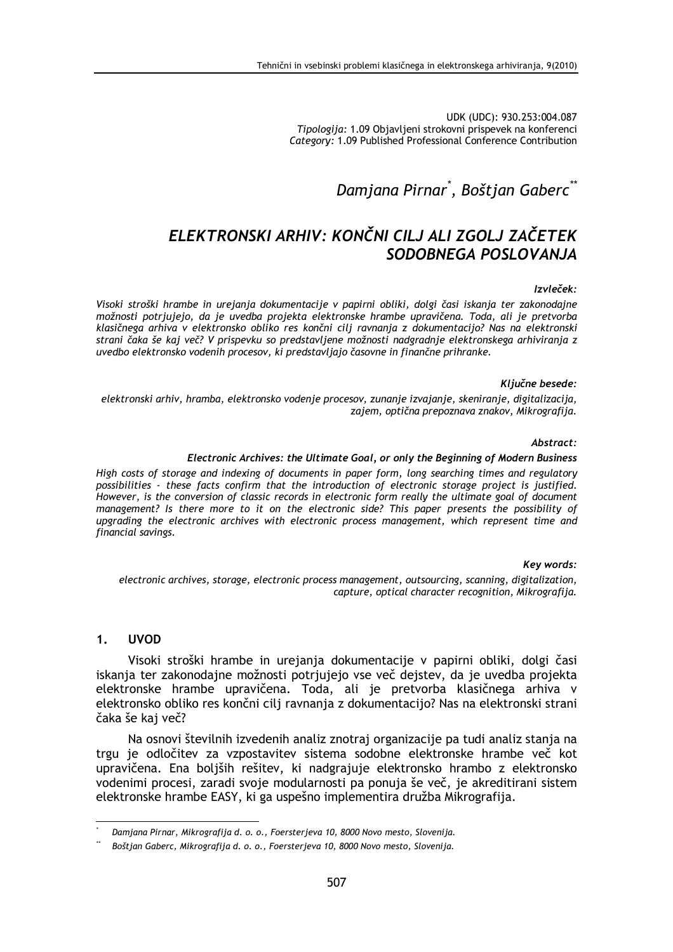UDK (UDC): 930.253:004.087 Tipologija: 1.09 Objavljeni strokovni prispevek na konferenci Category: 1.09 Published Professional Conference Contribution

# Damjana Pirnar<sup>\*</sup>, Boštjan Gaberc<sup>\*\*</sup>

# ELEKTRONSKI ARHIV: KONČNI CILJ ALI ZGOLJ ZAČETEK SODOBNEGA POSLOVANJA

### Izvleček:

Visoki stroški hrambe in urejanja dokumentacije v papirni obliki, dolgi časi iskanja ter zakonodajne možnosti potrjujejo, da je uvedba projekta elektronske hrambe upravičena. Toda, ali je pretvorba klasičnega arhiva v elektronsko obliko res končni cilj ravnanja z dokumentacijo? Nas na elektronski strani čaka še kaj več? V prispevku so predstavljene možnosti nadgradnje elektronskega arhiviranja z uvedbo elektronsko vodenih procesov, ki predstavljajo časovne in finančne prihranke.

Ključne besede:

elektronski arhiv, hramba, elektronsko vodenje procesov, zunanje izvajanje, skeniranje, digitalizacija, zajem, optična prepoznava znakov, Mikrografija.

### Abstract:

### Electronic Archives: the Ultimate Goal, or only the Beginning of Modern Business

High costs of storage and indexing of documents in paper form, long searching times and regulatory possibilities - these facts confirm that the introduction of electronic storage project is justified. However, is the conversion of classic records in electronic form really the ultimate goal of document management? Is there more to it on the electronic side? This paper presents the possibility of upgrading the electronic archives with electronic process management, which represent time and financial savings.

### Key words:

electronic archives, storage, electronic process management, outsourcing, scanning, digitalization, capture, optical character recognition, Mikrografija.

#### **LIVOD**  $\mathbf 1$

Visoki stroški hrambe in urejanja dokumentacije v papirni obliki, dolgi časi iskanja ter zakonodajne možnosti potriujejo vse več dejstev, da je uvedba projekta elektronske hrambe upravičena. Toda, ali je pretvorba klasičnega arhiva v elektronsko obliko res končni cili ravnania z dokumentacijo? Nas na elektronski strani čaka še kaj več?

Na osnovi številnih izvedenih analiz znotraj organizacije pa tudi analiz stanja na trgu je odločitev za vzpostavitev sistema sodobne elektronske hrambe več kot upravičena. Ena boljših rešitev, ki nadgrajuje elektronsko hrambo z elektronsko vodenimi procesi, zaradi svoje modularnosti pa ponuja še več, je akreditirani sistem elektronske hrambe EASY, ki ga uspešno implementira družba Mikrografija.

Damjana Pirnar, Mikrografija d. o. o., Foersterjeva 10, 8000 Novo mesto, Slovenija.

Boštjan Gaberc, Mikrografija d. o. o., Foersterjeva 10, 8000 Novo mesto, Slovenija.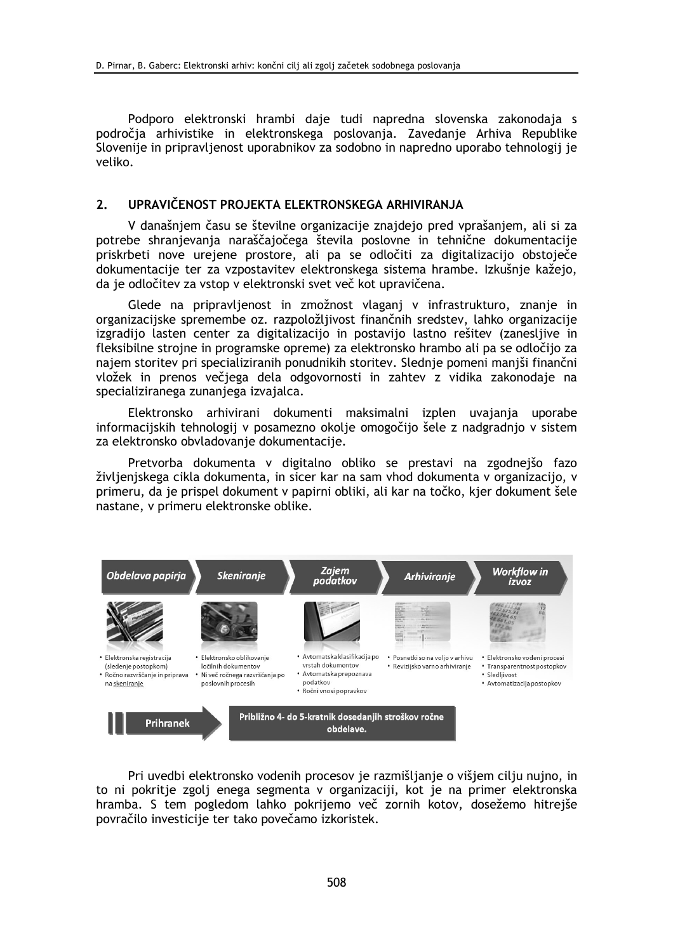Podporo elektronski hrambi daje tudi napredna slovenska zakonodaja s področja arhivistike in elektronskega poslovanja. Zavedanje Arhiva Republike Slovenije in pripravljenost uporabnikov za sodobno in napredno uporabo tehnologij je veliko.

#### $2.$ UPRAVIČENOST PROJEKTA ELEKTRONSKEGA ARHIVIRANJA

V današnjem času se številne organizacije znajdejo pred vprašanjem, ali si za potrebe shranjevanja naraščajočega števila poslovne in tehnične dokumentacije priskrbeti nove urejene prostore, ali pa se odločiti za digitalizacijo obstoječe dokumentacije ter za vzpostavitev elektronskega sistema hrambe. Izkušnje kažejo, da je odločitev za vstop v elektronski svet več kot upravičena.

Glede na pripravljenost in zmožnost vlaganj v infrastrukturo, znanje in organizacijske spremembe oz. razpoložljivost finančnih sredstev, lahko organizacije izgradijo lasten center za digitalizacijo in postavijo lastno rešitev (zanesljive in fleksibilne strojne in programske opreme) za elektronsko hrambo ali pa se odločijo za najem storitev pri specializiranih ponudnikih storitev. Slednje pomeni manjši finančni vložek in prenos večjega dela odgovornosti in zahtev z vidika zakonodaje na specializiranega zunanjega izvajalca.

Elektronsko arhivirani dokumenti maksimalni izplen uvajanja uporabe informacijskih tehnologij v posamezno okolje omogočijo šele z nadgradnjo v sistem za elektronsko obvladovanje dokumentacije.

Pretvorba dokumenta v digitalno obliko se prestavi na zgodnejšo fazo življeniskega cikla dokumenta, in sicer kar na sam vhod dokumenta v organizacijo, v primeru, da je prispel dokument v papirni obliki, ali kar na točko, kjer dokument šele nastane, v primeru elektronske oblike.



Pri uvedbi elektronsko vodenih procesov je razmišlianje o višjem cilju nujno, in to ni pokritje zgolj enega segmenta v organizaciji, kot je na primer elektronska hramba. S tem pogledom lahko pokrijemo več zornih kotov, dosežemo hitrejše povračilo investicije ter tako povečamo izkoristek.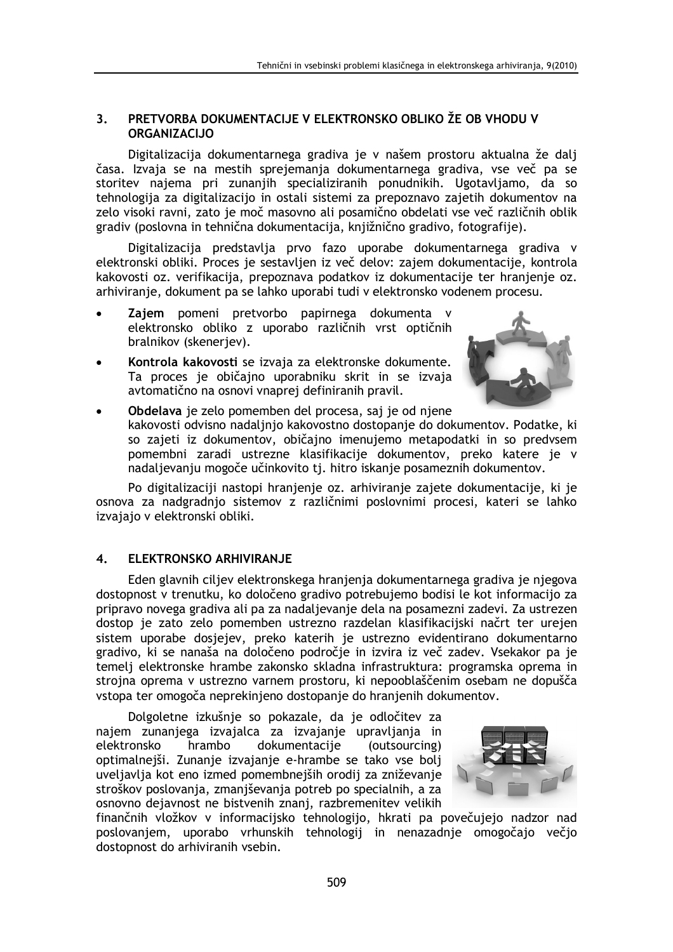### PRETVORBA DOKUMENTACIJE V ELEKTRONSKO OBLIKO ŽE OB VHODU V  $3<sub>1</sub>$ **ORGANIZACIJO**

Digitalizacija dokumentarnega gradiva je v našem prostoru aktualna že dalj časa. Izvaja se na mestih sprejemanja dokumentarnega gradiva, vse več pa se storitev najema pri zunanjih specializiranih ponudnikih. Ugotavljamo, da so tehnologija za digitalizacijo in ostali sistemi za prepoznavo zajetih dokumentov na zelo visoki ravni, zato je moč masovno ali posamično obdelati vse več različnih oblik gradiv (poslovna in tehnična dokumentacija, knjižnično gradivo, fotografije).

Digitalizacija predstavlja prvo fazo uporabe dokumentarnega gradiva v elektronski obliki. Proces je sestavljen iz več delov: zajem dokumentacije, kontrola kakovosti oz. verifikacija, prepoznava podatkov iz dokumentacije ter hranjenje oz. arhiviranje, dokument pa se lahko uporabi tudi v elektronsko vodenem procesu.

- Zajem pomeni pretvorbo papirnega dokumenta v elektronsko obliko z uporabo različnih vrst optičnih bralnikov (skeneriev).
- Kontrola kakovosti se izvaja za elektronske dokumente. Ta proces je običajno uporabniku skrit in se izvaja avtomatično na osnovi vnaprej definiranih pravil.



Obdelava je zelo pomemben del procesa, saj je od njene kakovosti odvisno nadaljnjo kakovostno dostopanje do dokumentov. Podatke, ki so zajeti iz dokumentov, običajno imenujemo metapodatki in so predvsem pomembni zaradi ustrezne klasifikacije dokumentov, preko katere je v nadaljevanju mogoče učinkovito tj. hitro iskanje posameznih dokumentov.

Po digitalizaciji nastopi hranjenje oz. arhiviranje zajete dokumentacije, ki je osnova za nadgradnio sistemov z različnimi poslovnimi procesi, kateri se lahko izvajajo v elektronski obliki.

#### $\boldsymbol{4}$ . ELEKTRONSKO ARHIVIRANJE

Eden glavnih ciliev elektronskega hranienia dokumentarnega gradiva je njegova dostopnost v trenutku, ko določeno gradivo potrebujemo bodisi le kot informacijo za pripravo novega gradiva ali pa za nadalievanie dela na posamezni zadevi. Za ustrezen dostop je zato zelo pomemben ustrezno razdelan klasifikacijski načrt ter urejen sistem uporabe dosiejev, preko katerih je ustrezno evidentirano dokumentarno gradivo, ki se nanaša na določeno področje in izvira iz več zadev. Vsekakor pa je temelj elektronske hrambe zakonsko skladna infrastruktura: programska oprema in strojna oprema v ustrezno varnem prostoru, ki nepooblaščenim osebam ne dopušča vstopa ter omogoča neprekinjeno dostopanje do hranjenih dokumentov.

Dolgoletne izkušnje so pokazale, da je odločitev za najem zunanjega izvajalca za izvajanje upravljanja in elektronsko hrambo dokumentacije (outsourcing) optimalnejši. Zunanje izvajanje e-hrambe se tako vse bolj uveljavlja kot eno izmed pomembnejših orodij za zniževanje stroškov poslovanja, zmanjševanja potreb po specialnih, a za osnovno dejavnost ne bistvenih znanj, razbremenitev velikih



finančnih vložkov v informacijsko tehnologijo, hkrati pa povečujejo nadzor nad poslovanjem, uporabo vrhunskih tehnologij in nenazadnje omogočajo večjo dostopnost do arhiviranih vsebin.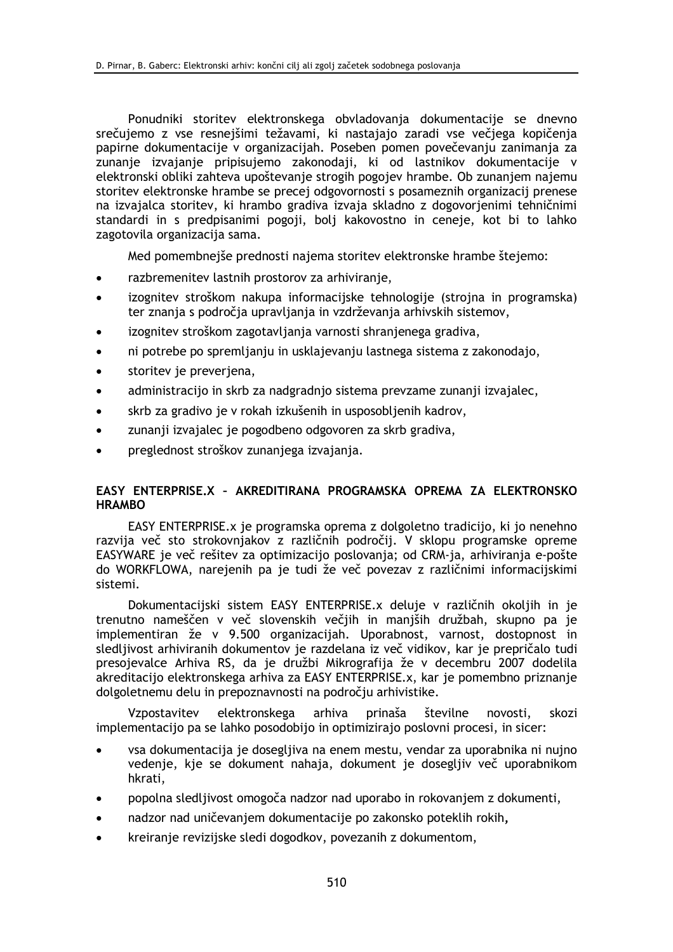Ponudniki storitev elektronskega obvladovanja dokumentacije se dnevno srečujemo z vse resnejšimi težavami, ki nastajajo zaradi vse večjega kopičenja papirne dokumentacije v organizacijah. Poseben pomen povečevanju zanimanja za zunanje izvajanje pripisujemo zakonodaji, ki od lastnikov dokumentacije v elektronski obliki zahteva upoštevanje strogih pogojev hrambe. Ob zunanjem najemu storitev elektronske hrambe se precej odgovornosti s posameznih organizacij prenese na izvajalca storitev, ki hrambo gradiva izvaja skladno z dogovorjenimi tehničnimi standardi in s predpisanimi pogoji, bolj kakovostno in ceneje, kot bi to lahko zagotovila organizacija sama.

Med pomembnejše prednosti najema storitev elektronske hrambe štejemo:

- razbremenitev lastnih prostorov za arhiviranje,
- izognitev stroškom nakupa informacijske tehnologije (strojna in programska) ter znanja s področja upravljanja in vzdrževanja arhivskih sistemov,
- izognitev stroškom zagotavljanja varnosti shranjenega gradiva,
- ni potrebe po spremljanju in usklajevanju lastnega sistema z zakonodajo,
- storitev je preverjena,
- administracijo in skrb za nadgradnio sistema prevzame zunanij izvajalec.
- skrb za gradivo je v rokah izkušenih in usposobljenih kadrov,  $\bullet$
- zunanji izvajalec je pogodbeno odgovoren za skrb gradiva,
- preglednost stroškov zunanjega izvajanja.

## EASY ENTERPRISE.X - AKREDITIRANA PROGRAMSKA OPREMA ZA ELEKTRONSKO **HRAMBO**

EASY ENTERPRISE.x je programska oprema z dolgoletno tradicijo, ki jo nenehno razvija več sto strokovnjakov z različnih področij. V sklopu programske opreme EASYWARE je več rešitev za optimizacijo poslovanja; od CRM-ja, arhiviranja e-pošte do WORKFLOWA, narejenih pa je tudi že več povezav z različnimi informacijskimi sistemi.

Dokumentacijski sistem EASY ENTERPRISE.x deluje v različnih okolijh in je trenutno nameščen v več slovenskih večjih in manjših družbah, skupno pa je implementiran že v 9.500 organizacijah. Uporabnost, varnost, dostopnost in sledljivost arhiviranih dokumentov je razdelana iz več vidikov, kar je prepričalo tudi presojevalce Arhiva RS, da je družbi Mikrografija že v decembru 2007 dodelila akreditacijo elektronskega arhiva za EASY ENTERPRISE.x, kar je pomembno priznanje dolgoletnemu delu in prepoznavnosti na področju arhivistike.

Vzpostavitev elektronskega arhiva prinaša številne novosti, skozi implementacijo pa se lahko posodobijo in optimizirajo poslovni procesi, in sicer:

- vsa dokumentacija je dosegljiva na enem mestu, vendar za uporabnika ni nujno vedenje, kje se dokument nahaja, dokument je dosegljiv več uporabnikom hkrati.
- popolna sledljivost omogoča nadzor nad uporabo in rokovanjem z dokumenti,
- nadzor nad uničevanjem dokumentacije po zakonsko poteklih rokih,
- kreiranie revizijske sledi dogodkov, povezanih z dokumentom,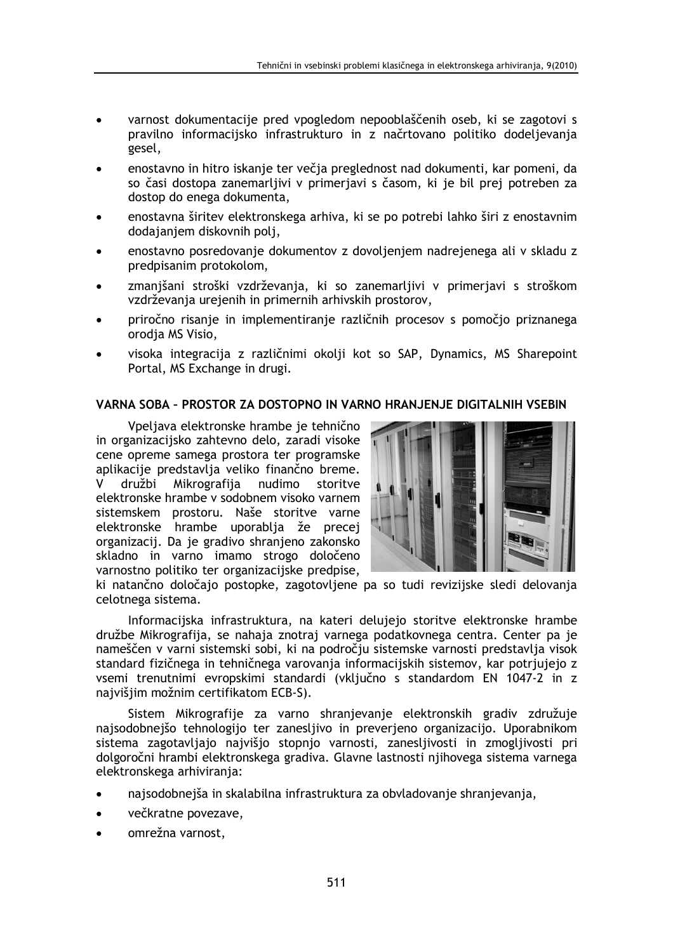- varnost dokumentacije pred vpogledom nepooblaščenih oseb, ki se zagotovi s pravilno informacijsko infrastrukturo in z načrtovano politiko dodeljevanja gesel,
- enostavno in hitro iskanje ter večja preglednost nad dokumenti, kar pomeni, da so časi dostopa zanemarljivi v primerjavi s časom, ki je bil prej potreben za dostop do enega dokumenta,
- enostavna širitev elektronskega arhiva, ki se po potrebi lahko širi z enostavnim dodajanjem diskovnih polj,
- enostavno posredovanje dokumentov z dovoljenjem nadrejenega ali v skladu z predpisanim protokolom,
- zmanjšani stroški vzdrževanja, ki so zanemarljivi v primerjavi s stroškom vzdrževanja urejenih in primernih arhivskih prostorov,
- priročno risanje in implementiranje različnih procesov s pomočjo priznanega orodja MS Visio,
- visoka integracija z različnimi okolji kot so SAP, Dynamics, MS Sharepoint Portal, MS Exchange in drugi.

## VARNA SOBA - PROSTOR ZA DOSTOPNO IN VARNO HRANJENJE DIGITALNIH VSEBIN

Vpeljava elektronske hrambe je tehnično in organizacijsko zahtevno delo, zaradi visoke cene opreme samega prostora ter programske aplikacije predstavlja veliko finančno breme.  $\mathsf{V}$ družbi Mikrografija nudimo storitve elektronske hrambe v sodobnem visoko varnem sistemskem prostoru. Naše storitve varne elektronske hrambe uporablja že precej organizacij. Da je gradivo shranjeno zakonsko skladno in varno imamo strogo določeno varnostno politiko ter organizacijske predpise,



ki natančno določajo postopke, zagotovljene pa so tudi revizijske sledi delovanja celotnega sistema.

Informacijska infrastruktura, na kateri delujejo storitve elektronske hrambe družbe Mikrografija, se nahaja znotraj varnega podatkovnega centra. Center pa je nameščen v varni sistemski sobi, ki na področju sistemske varnosti predstavlja visok standard fizičnega in tehničnega varovanja informacijskih sistemov, kar potrjujejo z vsemi trenutnimi evropskimi standardi (vključno s standardom EN 1047-2 in z najvišijm možnim certifikatom ECB-S).

Sistem Mikrografije za varno shranjevanje elektronskih gradiv združuje naisodobnejšo tehnologijo ter zanesljivo in preverjeno organizacijo. Uporabnikom sistema zagotavljajo najvišjo stopnjo varnosti, zanesljivosti in zmogljivosti pri dolgoročni hrambi elektronskega gradiva. Glavne lastnosti njihovega sistema varnega elektronskega arhiviranja:

- najsodobnejša in skalabilna infrastruktura za obvladovanje shranjevanja,
- večkratne povezave.
- omrežna varnost,  $\bullet$